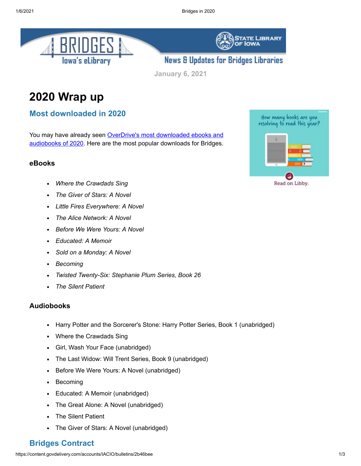



**STATE LIBRARY** 

**IOWA** 

**January 6, 2021**

# **2020 Wrap up**

#### **Most downloaded in 2020**

You may have already seen OverDrive's most downloaded ebooks and [audiobooks of 2020. Here are the most popular downloads for Bridges.](https://company.overdrive.com/2020/12/02/overdrives-most-downloaded-ebooks-and-audiobooks-in-2020/?utm_medium=email&utm_source=govdelivery)

#### **eBooks**

- *Where the Crawdads Sing*
- *The Giver of Stars: A Novel*
- *Little Fires Everywhere: A Novel*
- *The Alice Network: A Novel*
- *Before We Were Yours: A Novel*
- *Educated: A Memoir*
- *Sold on a Monday: A Novel*  $\bullet$
- *Becoming*  $\bullet$
- *Twisted Twenty-Six: Stephanie Plum Series, Book 26*
- *The Silent Patient*

#### **Audiobooks**

- Harry Potter and the Sorcerer's Stone: Harry Potter Series, Book 1 (unabridged)
- Where the Crawdads Sing
- Girl, Wash Your Face (unabridged)
- The Last Widow: Will Trent Series, Book 9 (unabridged)  $\bullet$
- Before We Were Yours: A Novel (unabridged)  $\bullet$
- Becoming  $\bullet$
- Educated: A Memoir (unabridged)  $\bullet$
- The Great Alone: A Novel (unabridged)
- The Silent Patient
- The Giver of Stars: A Novel (unabridged)

## **Bridges Contract**

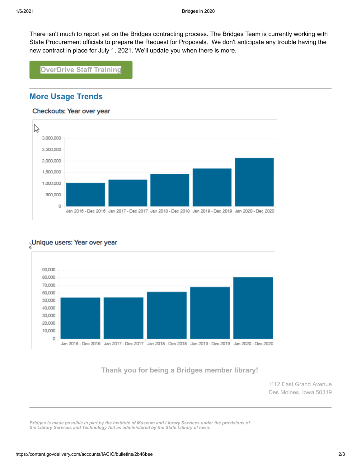There isn't much to report yet on the Bridges contracting process. The Bridges Team is currently working with State Procurement officials to prepare the Request for Proposals. We don't anticipate any trouble having the new contract in place for July 1, 2021. We'll update you when there is more.

**[OverDrive Staff Training](https://resources.overdrive.com/library/on-demand-webinars/?utm_medium=email&utm_source=govdelivery)**

## **More Usage Trends**

#### Checkouts: Year over year



## Unique users: Year over year



## **[Thank you for being a Bridges member library!](http://www.statelibraryofiowa.org/ld/c-d/download?utm_medium=email&utm_source=govdelivery)**

1112 East Grand Avenue Des Moines, Iowa 50319

*Bridges is made possible in part by the Institute of Museum and Library Services under the provisions of the Library Services and Technology Act as administered by the State Library of Iowa.*